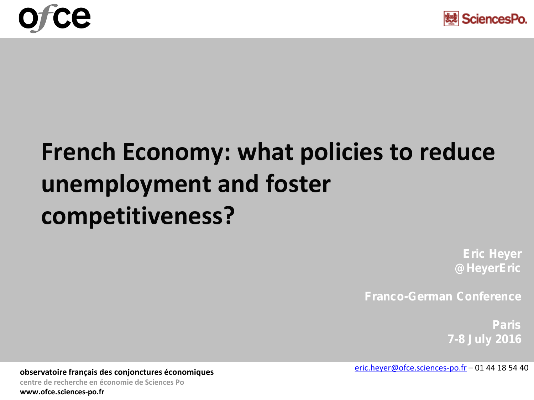



# **French Economy: what policies to reduce unemployment and foster competitiveness?**

**Eric Heyer @HeyerEric**

**Franco-German Conference**

**Paris 7-8 July 2016**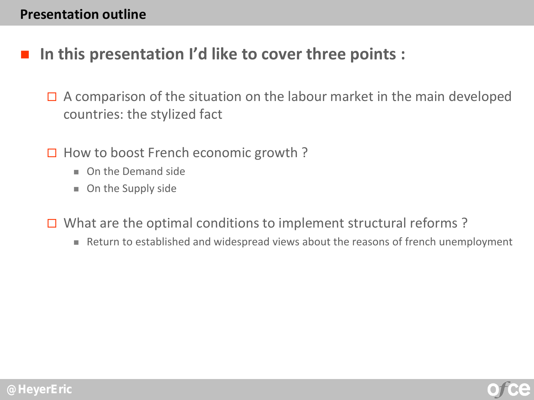## **In this presentation I'd like to cover three points :**

- $\Box$  A comparison of the situation on the labour market in the main developed countries: the stylized fact
- $\Box$  How to boost French economic growth ?
	- **n** On the Demand side
	- On the Supply side
- $\Box$  What are the optimal conditions to implement structural reforms?
	- Return to established and widespread views about the reasons of french unemployment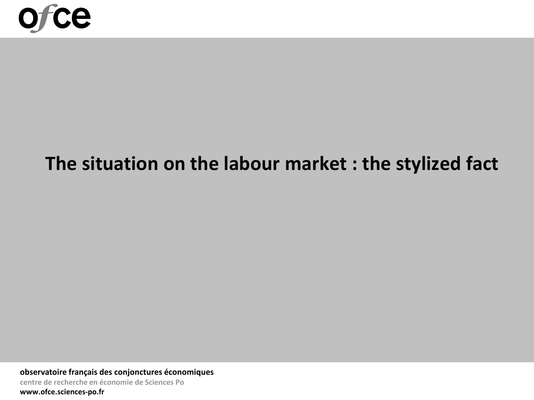

# **The situation on the labour market : the stylized fact**

**observatoire français des conjonctures économiques centre de recherche en économie de Sciences Po www.ofce.sciences-po.fr**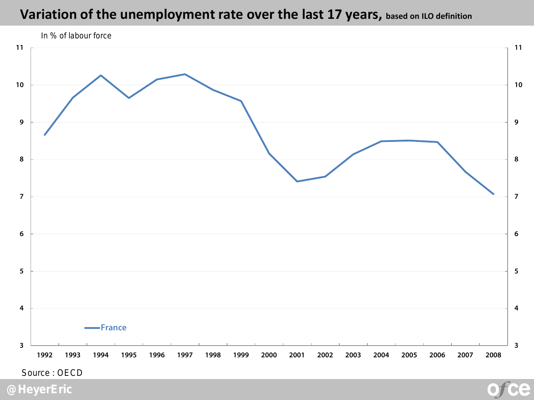

*Source : OECD*

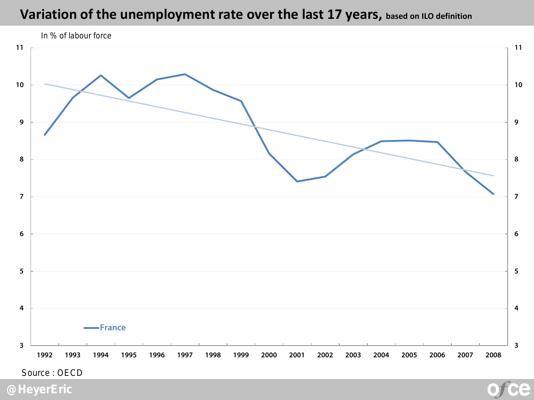

*Source : OECD*

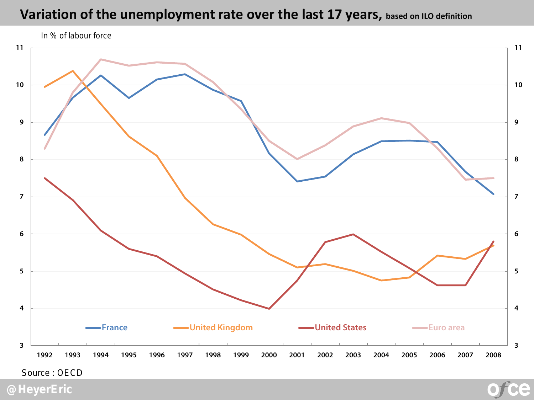

*Source : OECD*

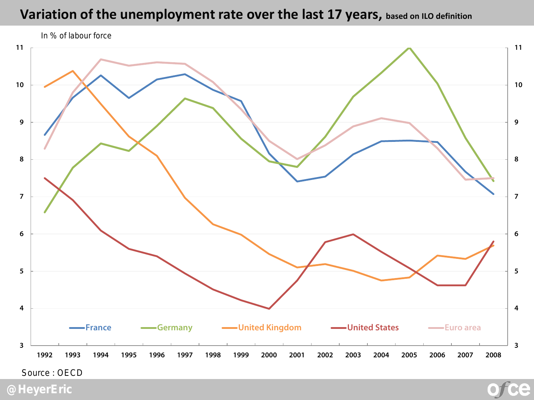

*Source : OECD*

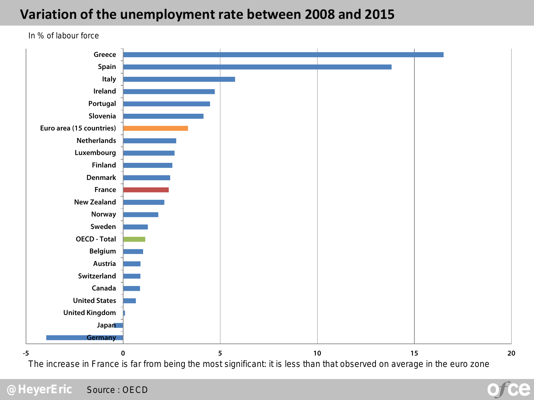#### **Variation of the unemployment rate between 2008 and 2015**



In % of labour force

The increase in France is far from being the most significant: it is less than that observed on average in the euro zone

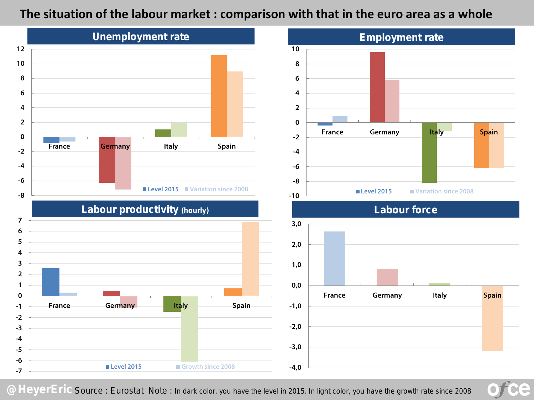#### **The situation of the labour market : comparison with that in the euro area as a whole**





**@HeyerEric** *Source* : Eurostat *Note* : In dark color, you have the level in 2015. In light color, you have the growth rate since 2008

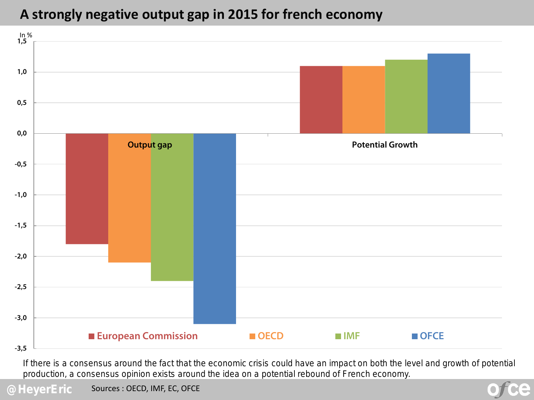### **A strongly negative output gap in 2015 for french economy**



If there is a consensus around the fact that the economic crisis could have an impact on both the level and growth of potential production, a consensus opinion exists around the idea on a potential rebound of French economy.

Œ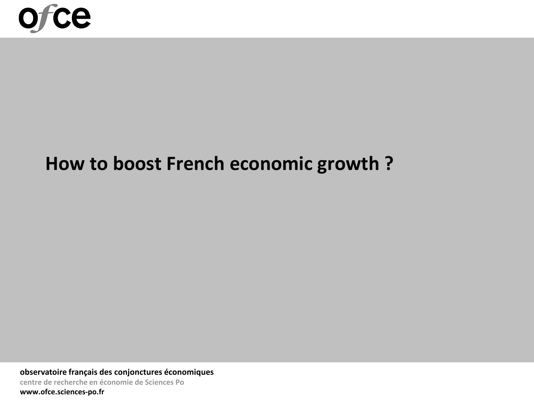

# **How to boost French economic growth ?**

**observatoire français des conjonctures économiques centre de recherche en économie de Sciences Po www.ofce.sciences-po.fr**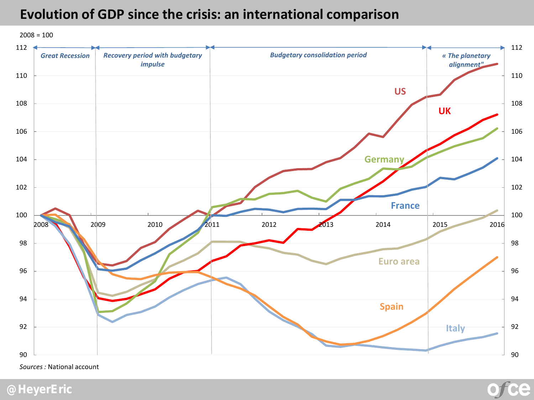#### **Evolution of GDP since the crisis: an international comparison**

 $2008 = 100$ 



e

 $\bullet$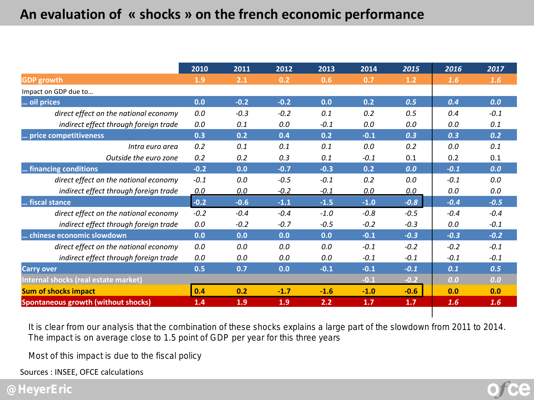#### **An evaluation of « shocks » on the french economic performance**

|                                            | 2010   | 2011   | 2012   | 2013   | 2014   | 2015   | 2016   | 2017   |
|--------------------------------------------|--------|--------|--------|--------|--------|--------|--------|--------|
| <b>GDP</b> growth                          | 1.9    | 2.1    | 0.2    | 0.6    | 0.7    | 1.2    | 1.6    | 1.6    |
| Impact on GDP due to                       |        |        |        |        |        |        |        |        |
| oil prices                                 | 0.0    | $-0.2$ | $-0.2$ | 0.0    | 0.2    | 0.5    | 0.4    | 0.0    |
| direct effect on the national economy      | 0.0    | $-0.3$ | $-0.2$ | 0.1    | 0.2    | 0.5    | 0.4    | $-0.1$ |
| indirect effect through foreign trade      | 0.0    | 0.1    | 0.0    | $-0.1$ | 0.0    | 0.0    | 0.0    | 0.1    |
| price competitiveness                      | 0.3    | 0.2    | 0.4    | 0.2    | $-0.1$ | 0.3    | 0.3    | 0.2    |
| Intra euro area                            | 0.2    | 0.1    | 0.1    | 0.1    | 0.0    | 0.2    | 0.0    | 0.1    |
| Outside the euro zone                      | 0.2    | 0.2    | 0.3    | 0.1    | $-0.1$ | 0.1    | 0.2    | 0.1    |
| financing conditions                       | $-0.2$ | 0.0    | $-0.7$ | $-0.3$ | 0.2    | 0.0    | $-0.1$ | 0.0    |
| direct effect on the national economy      | $-0.1$ | 0.0    | $-0.5$ | $-0.1$ | 0.2    | 0.0    | $-0.1$ | 0.0    |
| indirect effect through foreign trade      | 0.0    | 0.0    | $-0.2$ | $-0.1$ | 0.0    | 0.0    | 0.0    | 0.0    |
| fiscal stance                              | $-0.2$ | $-0.6$ | $-1.1$ | $-1.5$ | $-1.0$ | $-0.8$ | $-0.4$ | $-0.5$ |
| direct effect on the national economy      | $-0.2$ | $-0.4$ | $-0.4$ | $-1.0$ | $-0.8$ | $-0.5$ | $-0.4$ | $-0.4$ |
| indirect effect through foreign trade      | 0.0    | $-0.2$ | $-0.7$ | $-0.5$ | $-0.2$ | $-0.3$ | 0.0    | $-0.1$ |
| chinese economic slowdown                  | 0.0    | 0.0    | 0.0    | 0.0    | $-0.1$ | $-0.3$ | $-0.3$ | $-0.2$ |
| direct effect on the national economy      | 0.0    | 0.0    | 0.0    | 0.0    | $-0.1$ | $-0.2$ | $-0.2$ | $-0.1$ |
| indirect effect through foreign trade      | 0.0    | 0.0    | 0.0    | 0.0    | $-0.1$ | $-0.1$ | $-0.1$ | $-0.1$ |
| <b>Carry over</b>                          | 0.5    | 0.7    | 0.0    | $-0.1$ | $-0.1$ | $-0.1$ | 0.1    | 0.5    |
| Internal shocks (real estate market)       |        |        |        |        | $-0.1$ | $-0.2$ | 0.0    | 0.0    |
| <b>Sum of shocks impact</b>                | 0.4    | 0.2    | $-1.7$ | $-1.6$ | $-1.0$ | $-0.6$ | 0.0    | 0.0    |
| <b>Spontaneous growth (without shocks)</b> | 1.4    | 1.9    | 1.9    | 2.2    | 1.7    | 1.7    | 1.6    | 1.6    |

It is clear from our analysis that the combination of these shocks explains a large part of the slowdown from 2011 to 2014. **Output gap -0.9 0.0 -1.0 -1.4 -2.5 -2.5 -2.2 -1.8** The impact is on average close to 1.5 point of GDP per year for this three years

Most of this impact is due to the fiscal policy

Sources : INSEE, OFCE calculations

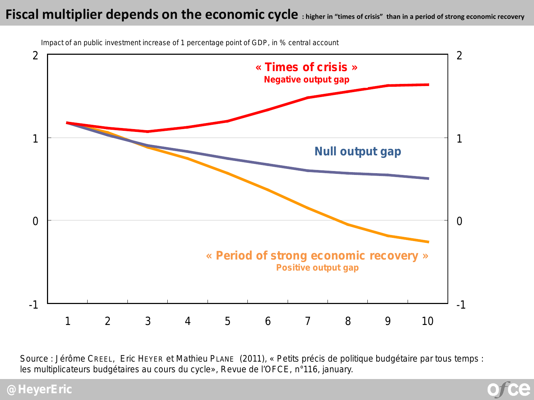#### **Fiscal multiplier depends on the economic cycle : higher in "times of crisis" than in a period of strong economic recovery**



*Source* : Jérôme CREEL, Eric HEYER et Mathieu PLANE (2011), « Petits précis de politique budgétaire par tous temps : les multiplicateurs budgétaires au cours du cycle», *Revue de l'OFCE*, n°116, january.

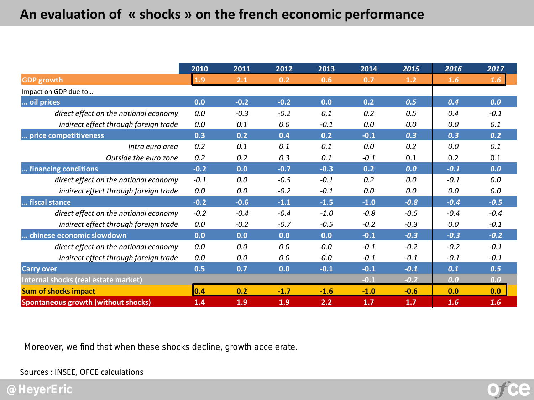### **An evaluation of « shocks » on the french economic performance**

|                                            | 2010   | 2011   | 2012   | 2013   | 2014   | 2015   | 2016   | 2017   |
|--------------------------------------------|--------|--------|--------|--------|--------|--------|--------|--------|
| <b>GDP</b> growth                          | 1.9    | 2.1    | 0.2    | 0.6    | 0.7    | 1.2    | 1.6    | 1.6    |
| Impact on GDP due to                       |        |        |        |        |        |        |        |        |
| oil prices                                 | 0.0    | $-0.2$ | $-0.2$ | 0.0    | 0.2    | 0.5    | 0.4    | 0.0    |
| direct effect on the national economy      | 0.0    | $-0.3$ | $-0.2$ | 0.1    | 0.2    | 0.5    | 0.4    | $-0.1$ |
| indirect effect through foreign trade      | 0.0    | 0.1    | 0.0    | $-0.1$ | 0.0    | 0.0    | 0.0    | 0.1    |
| price competitiveness                      | 0.3    | 0.2    | 0.4    | 0.2    | $-0.1$ | 0.3    | 0.3    | 0.2    |
| Intra euro area                            | 0.2    | 0.1    | 0.1    | 0.1    | 0.0    | 0.2    | 0.0    | 0.1    |
| Outside the euro zone                      | 0.2    | 0.2    | 0.3    | 0.1    | $-0.1$ | 0.1    | 0.2    | 0.1    |
| financing conditions                       | $-0.2$ | 0.0    | $-0.7$ | $-0.3$ | 0.2    | 0.0    | $-0.1$ | 0.0    |
| direct effect on the national economy      | $-0.1$ | 0.0    | $-0.5$ | $-0.1$ | 0.2    | 0.0    | $-0.1$ | 0.0    |
| indirect effect through foreign trade      | 0.0    | 0.0    | $-0.2$ | $-0.1$ | 0.0    | 0.0    | 0.0    | 0.0    |
| fiscal stance                              | $-0.2$ | $-0.6$ | $-1.1$ | $-1.5$ | $-1.0$ | $-0.8$ | $-0.4$ | $-0.5$ |
| direct effect on the national economy      | $-0.2$ | $-0.4$ | $-0.4$ | $-1.0$ | $-0.8$ | $-0.5$ | $-0.4$ | $-0.4$ |
| indirect effect through foreign trade      | 0.0    | $-0.2$ | $-0.7$ | $-0.5$ | $-0.2$ | $-0.3$ | 0.0    | $-0.1$ |
| chinese economic slowdown                  | 0.0    | 0.0    | 0.0    | 0.0    | $-0.1$ | $-0.3$ | $-0.3$ | $-0.2$ |
| direct effect on the national economy      | 0.0    | 0.0    | 0.0    | 0.0    | $-0.1$ | $-0.2$ | $-0.2$ | $-0.1$ |
| indirect effect through foreign trade      | 0.0    | 0.0    | 0.0    | 0.0    | $-0.1$ | $-0.1$ | $-0.1$ | $-0.1$ |
| <b>Carry over</b>                          | 0.5    | 0.7    | 0.0    | $-0.1$ | $-0.1$ | $-0.1$ | 0.1    | 0.5    |
| Internal shocks (real estate market)       |        |        |        |        | $-0.1$ | $-0.2$ | 0.0    | 0.0    |
| <b>Sum of shocks impact</b>                | 0.4    | 0.2    | $-1.7$ | $-1.6$ | $-1.0$ | $-0.6$ | 0.0    | 0.0    |
| <b>Spontaneous growth (without shocks)</b> | 1.4    | 1.9    | 1.9    | 2.2    | 1.7    | 1.7    | 1.6    | 1.6    |

Moreover, we find that when these shocks decline, growth accelerate.

Sources : INSEE, OFCE calculations

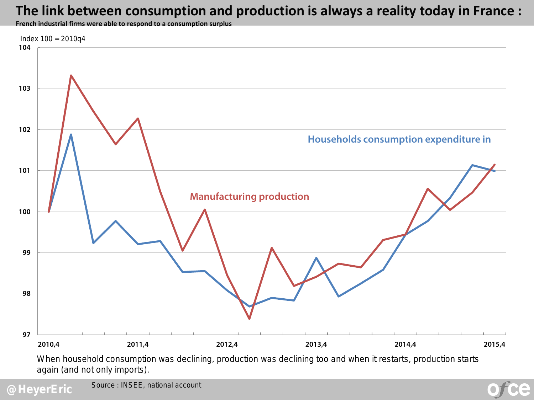## **The link between consumption and production is always a reality today in France :**

**French industrial firms were able to respond to a consumption surplus**



When household consumption was declining, production was declining too and when it restarts, production starts again (and not only imports).

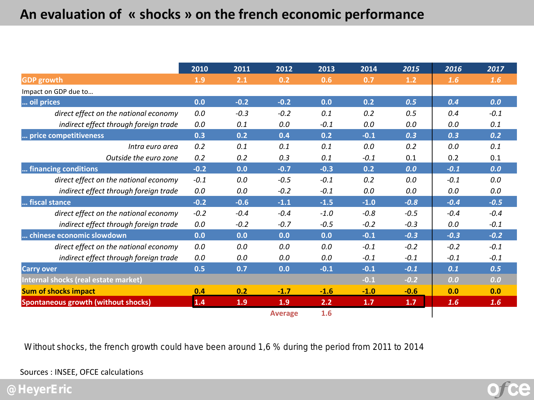### **An evaluation of « shocks » on the french economic performance**

|                                            | 2010   | 2011   | 2012           | 2013   | 2014   | 2015   | 2016   | 2017       |
|--------------------------------------------|--------|--------|----------------|--------|--------|--------|--------|------------|
| <b>GDP</b> growth                          | 1.9    | 2.1    | 0.2            | 0.6    | 0.7    | 1.2    | 1.6    | 1.6        |
| Impact on GDP due to                       |        |        |                |        |        |        |        |            |
| oil prices                                 | 0.0    | $-0.2$ | $-0.2$         | 0.0    | 0.2    | 0.5    | 0.4    | 0.0        |
| direct effect on the national economy      | 0.0    | $-0.3$ | $-0.2$         | 0.1    | 0.2    | 0.5    | 0.4    | $-0.1$     |
| indirect effect through foreign trade      | 0.0    | 0.1    | 0.0            | $-0.1$ | 0.0    | 0.0    | 0.0    | 0.1        |
| price competitiveness                      | 0.3    | 0.2    | 0.4            | 0.2    | $-0.1$ | 0.3    | 0.3    | 0.2        |
| Intra euro area                            | 0.2    | 0.1    | 0.1            | 0.1    | 0.0    | 0.2    | 0.0    | 0.1        |
| Outside the euro zone                      | 0.2    | 0.2    | 0.3            | 0.1    | $-0.1$ | 0.1    | 0.2    | 0.1        |
| financing conditions                       | $-0.2$ | 0.0    | $-0.7$         | $-0.3$ | 0.2    | 0.0    | $-0.1$ | 0.0        |
| direct effect on the national economy      | $-0.1$ | 0.0    | $-0.5$         | $-0.1$ | 0.2    | 0.0    | $-0.1$ | 0.0        |
| indirect effect through foreign trade      | 0.0    | 0.0    | $-0.2$         | $-0.1$ | 0.0    | 0.0    | 0.0    | 0.0        |
| fiscal stance                              | $-0.2$ | $-0.6$ | $-1.1$         | $-1.5$ | $-1.0$ | $-0.8$ | $-0.4$ | $-0.5$     |
| direct effect on the national economy      | $-0.2$ | $-0.4$ | $-0.4$         | $-1.0$ | $-0.8$ | $-0.5$ | $-0.4$ | $-0.4$     |
| indirect effect through foreign trade      | 0.0    | $-0.2$ | $-0.7$         | $-0.5$ | $-0.2$ | $-0.3$ | 0.0    | $-0.1$     |
| chinese economic slowdown                  | 0.0    | 0.0    | 0.0            | 0.0    | $-0.1$ | $-0.3$ | $-0.3$ | $-0.2$     |
| direct effect on the national economy      | 0.0    | 0.0    | 0.0            | 0.0    | $-0.1$ | $-0.2$ | $-0.2$ | $-0.1$     |
| indirect effect through foreign trade      | 0.0    | 0.0    | 0.0            | 0.0    | $-0.1$ | $-0.1$ | $-0.1$ | $-0.1$     |
| <b>Carry over</b>                          | 0.5    | 0.7    | 0.0            | $-0.1$ | $-0.1$ | $-0.1$ | 0.1    | 0.5        |
| Internal shocks (real estate market)       |        |        |                |        | $-0.1$ | $-0.2$ | 0.0    | 0.0        |
| <b>Sum of shocks impact</b>                | 0.4    | 0.2    | $-1.7$         | $-1.6$ | $-1.0$ | $-0.6$ | 0.0    | 0.0        |
| <b>Spontaneous growth (without shocks)</b> | 1.4    | 1.9    | 1.9            | 2.2    | 1.7    | 1.7    | 1.6    | <b>1.6</b> |
|                                            |        |        | <b>Average</b> | 1.6    |        |        |        |            |

Without shocks, the french growth could have been around 1,6 % during the period from 2011 to 2014

Sources : INSEE, OFCE calculations



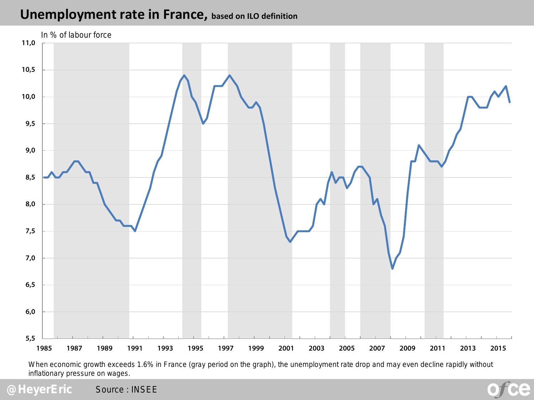#### **Unemployment rate in France, based on ILO definition**



When economic growth exceeds 1.6% in France (gray period on the graph), the unemployment rate drop and may even decline rapidly without inflationary pressure on wages.

e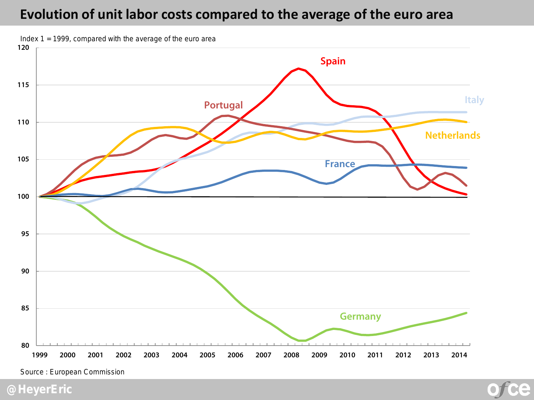#### **Evolution of unit labor costs compared to the average of the euro area**



*Source* : European Commission

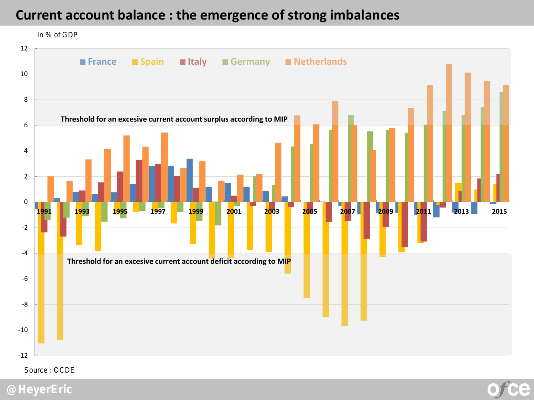#### **Current account balance : the emergence of strong imbalances**



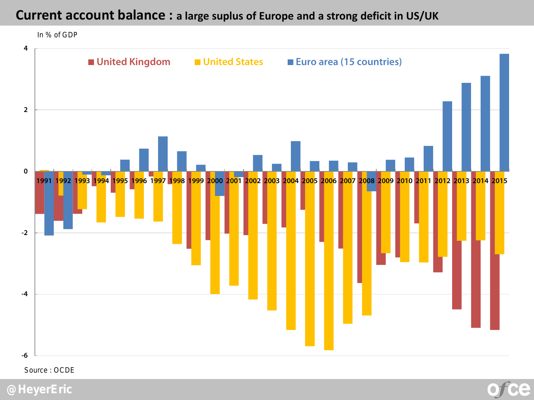#### **Current account balance : a large suplus of Europe and a strong deficit in US/UK**

In % of GDP **-6 -4 -2 0 2 4** 1991 <mark>19</mark>92 <mark>1993 1994 199</mark>5 1996 1997 1998 1999 2000 2001 2002 2003 2004 2005 2006 2007 2008 2009 2010 2011 2012 2013 2014 2015 **United Kingdom United States Euro area (15 countries)**



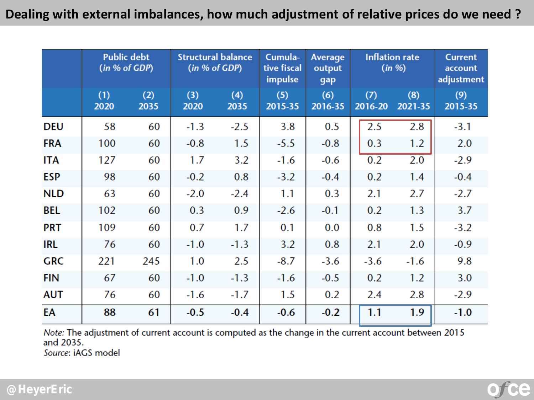#### **Dealing with external imbalances, how much adjustment of relative prices do we need ?**

|            | <b>Public debt</b><br>(in % of GDP) |             | <b>Structural balance</b><br>(in % of GDP) |             | Cumula-<br>tive fiscal<br>impulse | Average<br>output<br>gap | <b>Inflation rate</b><br>(in %) |                | <b>Current</b><br>account<br>adjustment |
|------------|-------------------------------------|-------------|--------------------------------------------|-------------|-----------------------------------|--------------------------|---------------------------------|----------------|-----------------------------------------|
|            | (1)<br>2020                         | (2)<br>2035 | (3)<br>2020                                | (4)<br>2035 | (5)<br>2015-35                    | (6)<br>2016-35           | (7)<br>2016-20                  | (8)<br>2021-35 | (9)<br>2015-35                          |
| <b>DEU</b> | 58                                  | 60          | $-1.3$                                     | $-2.5$      | 3.8                               | 0.5                      | 2.5                             | 2.8            | $-3.1$                                  |
| <b>FRA</b> | 100                                 | 60          | $-0.8$                                     | 1.5         | $-5.5$                            | $-0.8$                   | 0.3                             | 1.2            | 2.0                                     |
| ITA        | 127                                 | 60          | 1.7                                        | 3.2         | $-1.6$                            | $-0.6$                   | 0.2                             | 2.0            | $-2.9$                                  |
| <b>ESP</b> | 98                                  | 60          | $-0.2$                                     | 0.8         | $-3.2$                            | $-0.4$                   | 0.2                             | 1.4            | $-0.4$                                  |
| <b>NLD</b> | 63                                  | 60          | $-2.0$                                     | $-2.4$      | 1.1                               | 0.3                      | 2.1                             | 2.7            | $-2.7$                                  |
| BEL        | 102                                 | 60          | 0.3                                        | 0.9         | $-2.6$                            | $-0.1$                   | 0.2                             | 1.3            | 3.7                                     |
| PRT        | 109                                 | 60          | 0.7                                        | 1.7         | 0.1                               | 0.0                      | 0.8                             | 1.5            | $-3.2$                                  |
| <b>IRL</b> | 76                                  | 60          | $-1.0$                                     | $-1.3$      | 3.2                               | 0.8                      | 2.1                             | 2.0            | $-0.9$                                  |
| <b>GRC</b> | 221                                 | 245         | 1.0                                        | 2.5         | $-8.7$                            | $-3.6$                   | $-3.6$                          | $-1.6$         | 9.8                                     |
| <b>FIN</b> | 67                                  | 60          | $-1.0$                                     | $-1.3$      | $-1.6$                            | $-0.5$                   | 0.2                             | 1.2            | 3.0                                     |
| <b>AUT</b> | 76                                  | 60          | $-1.6$                                     | $-1.7$      | 1.5                               | 0.2                      | 2.4                             | 2.8            | $-2.9$                                  |
| EA         | 88                                  | 61          | $-0.5$                                     | $-0.4$      | $-0.6$                            | $-0.2$                   | 1.1                             | 1.9            | $-1.0$                                  |

Note: The adjustment of current account is computed as the change in the current account between 2015 and 2035.

Source: iAGS model

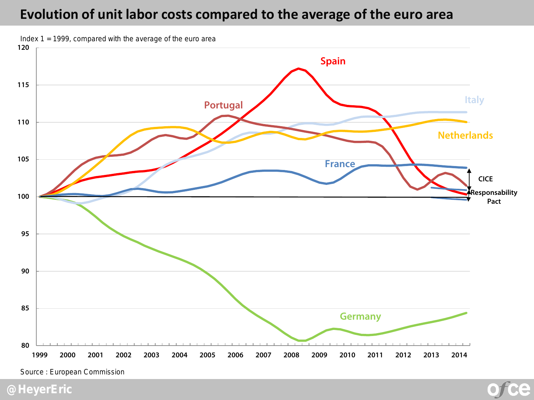#### **Evolution of unit labor costs compared to the average of the euro area**



*Source* : European Commission

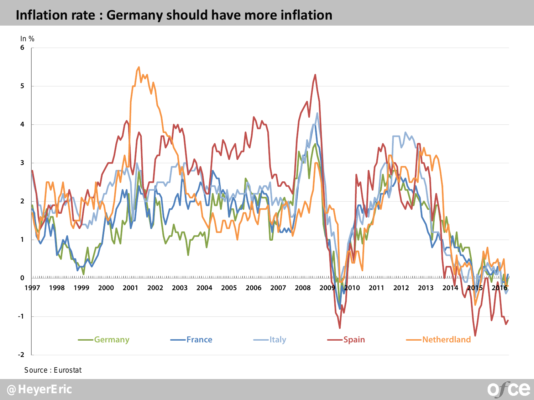#### **Inflation rate : Germany should have more inflation**



Source : Eurostat

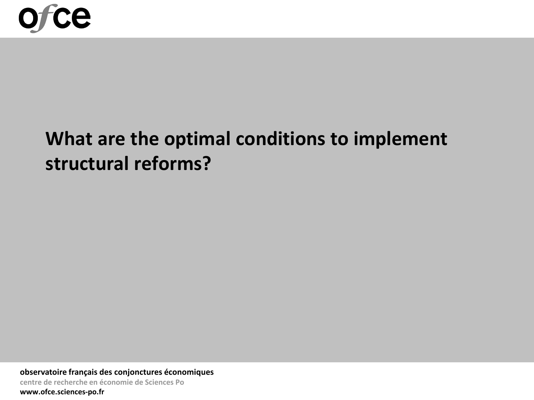

# **What are the optimal conditions to implement structural reforms?**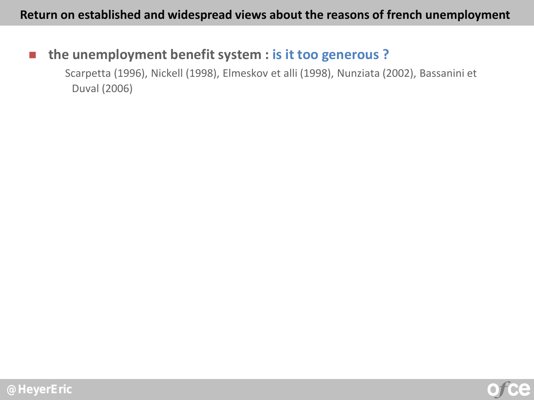#### **the unemployment benefit system : is it too generous ?**

 Scarpetta (1996), Nickell (1998), Elmeskov et alli (1998), Nunziata (2002), Bassanini et Duval (2006)

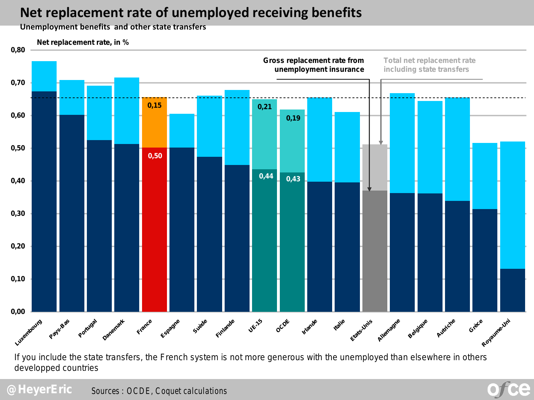## **Net replacement rate of unemployed receiving benefits**

**Unemployment benefits and other state transfers**

*Taux de remplacement en %* **Net replacement rate, in %**



If you include the state transfers, the French system is not more generous with the unemployed than elsewhere in others developped countries

#### **@HeyerEric** *Sources : OCDE, Coquet calculations*

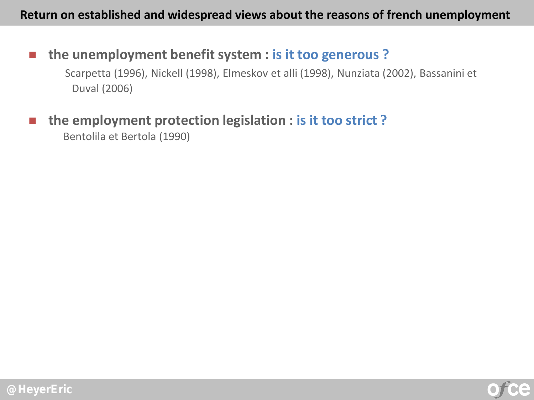#### **Return on established and widespread views about the reasons of french unemployment**

#### **the unemployment benefit system : is it too generous ?**

 Scarpetta (1996), Nickell (1998), Elmeskov et alli (1998), Nunziata (2002), Bassanini et Duval (2006)

### **the employment protection legislation : is it too strict ?**

Bentolila et Bertola (1990)



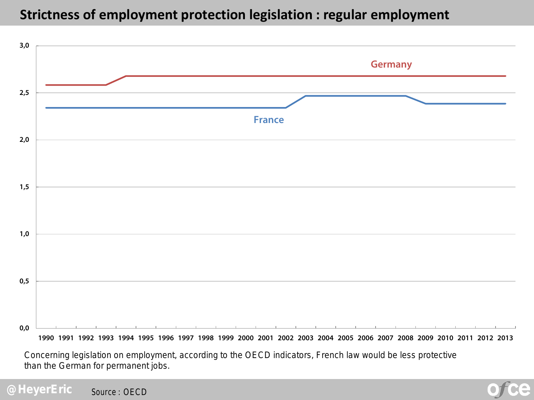#### **Strictness of employment protection legislation : regular employment**



Concerning legislation on employment, according to the OECD indicators, French law would be less protective than the German for permanent jobs.

**@HeyerEric** *Source :* OECD

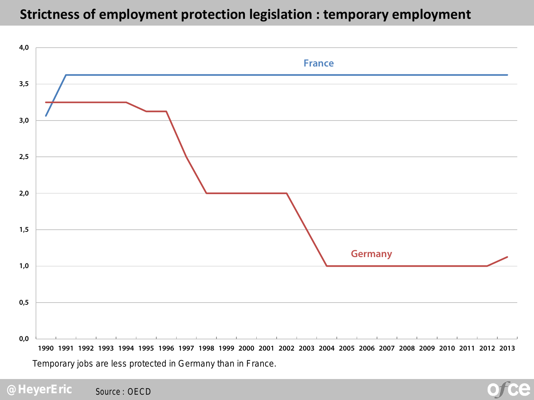#### **Strictness of employment protection legislation : temporary employment**



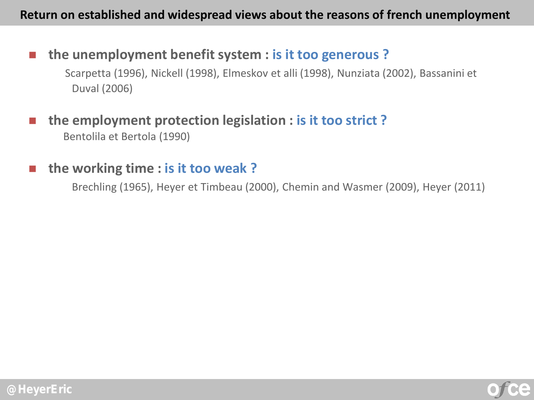#### **Return on established and widespread views about the reasons of french unemployment**

 **the unemployment benefit system : is it too generous ?** Scarpetta (1996), Nickell (1998), Elmeskov et alli (1998), Nunziata (2002), Bassanini et Duval (2006)

 **the employment protection legislation : is it too strict ?** Bentolila et Bertola (1990)

#### **the working time : is it too weak ?**

Brechling (1965), Heyer et Timbeau (2000), Chemin and Wasmer (2009), Heyer (2011)



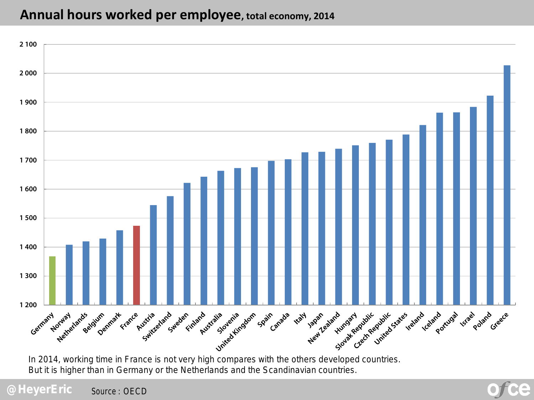#### **Annual hours worked per employee, total economy, 2014**



But it is higher than in Germany or the Netherlands and the Scandinavian countries.

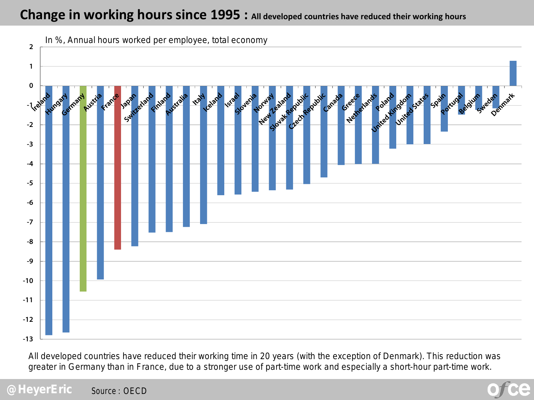#### **Change in working hours since 1995 : All developed countries have reduced their working hours**



All developed countries have reduced their working time in 20 years (with the exception of Denmark). This reduction was greater in Germany than in France, due to a stronger use of part-time work and especially a short-hour part-time work.

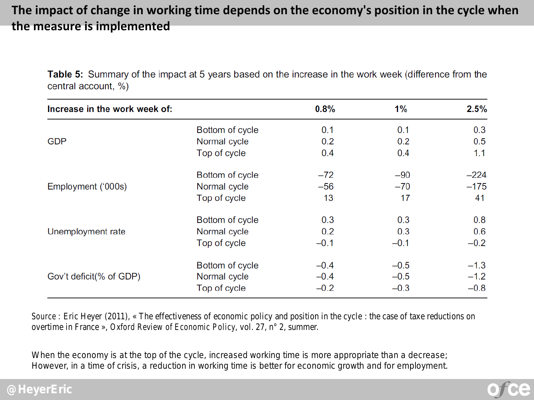#### **The impact of change in working time depends on the economy's position in the cycle when the measure is implemented**

| Increase in the work week of: |                 | 0.8%   | $1\%$  | 2.5%   |
|-------------------------------|-----------------|--------|--------|--------|
|                               | Bottom of cycle | 0.1    | 0.1    | 0.3    |
| <b>GDP</b>                    | Normal cycle    | 0.2    | 0.2    | 0.5    |
|                               | Top of cycle    | 0.4    | 0.4    | 1.1    |
|                               | Bottom of cycle | $-72$  | $-90$  | $-224$ |
| Employment ('000s)            | Normal cycle    | $-56$  | $-70$  | $-175$ |
|                               | Top of cycle    | 13     | 17     | 41     |
|                               | Bottom of cycle | 0.3    | 0.3    | 0.8    |
| Unemployment rate             | Normal cycle    | 0.2    | 0.3    | 0.6    |
|                               | Top of cycle    | $-0.1$ | $-0.1$ | $-0.2$ |
|                               | Bottom of cycle | $-0.4$ | $-0.5$ | $-1.3$ |
| Gov't deficit(% of GDP)       | Normal cycle    | $-0.4$ | $-0.5$ | $-1.2$ |
|                               | Top of cycle    | $-0.2$ | $-0.3$ | $-0.8$ |

Table 5: Summary of the impact at 5 years based on the increase in the work week (difference from the central account, %)

*Source* : Eric Heyer (2011), « The effectiveness of economic policy and position in the cycle : the case of taxe reductions on overtime in France », *Oxford Review of Economic Policy*, vol. 27, n° 2, summer.

When the economy is at the top of the cycle, increased working time is more appropriate than a decrease; However, in a time of crisis, a reduction in working time is better for economic growth and for employment.

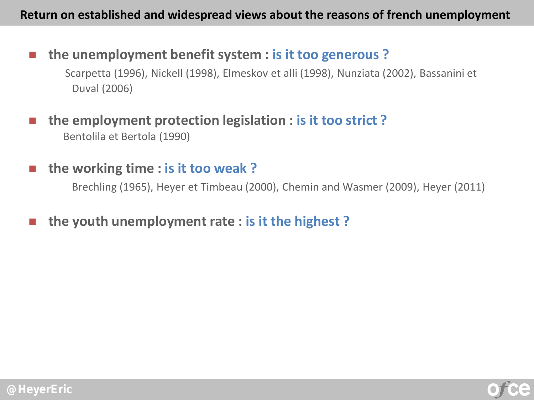#### **Return on established and widespread views about the reasons of french unemployment**

 **the unemployment benefit system : is it too generous ?** Scarpetta (1996), Nickell (1998), Elmeskov et alli (1998), Nunziata (2002), Bassanini et Duval (2006)

 **the employment protection legislation : is it too strict ?** Bentolila et Bertola (1990)

**the working time : is it too weak ?**

Brechling (1965), Heyer et Timbeau (2000), Chemin and Wasmer (2009), Heyer (2011)

**the youth unemployment rate : is it the highest ?**

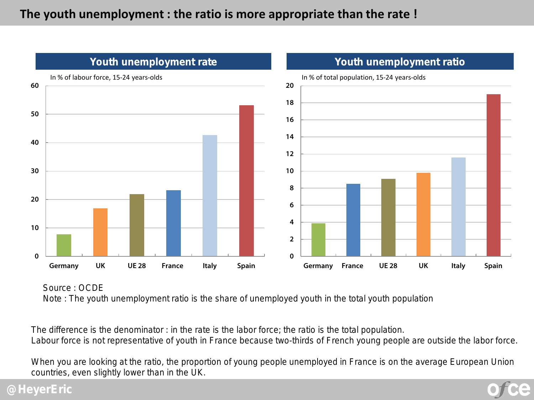#### **The youth unemployment : the ratio is more appropriate than the rate !**



*Source* : OCDE

*Note* : The youth unemployment ratio is the share of unemployed youth in the total youth population

The difference is the denominator : in the rate is the labor force; the ratio is the total population. Labour force is not representative of youth in France because two-thirds of French young people are outside the labor force.

When you are looking at the ratio, the proportion of young people unemployed in France is on the average European Union countries, even slightly lower than in the UK.

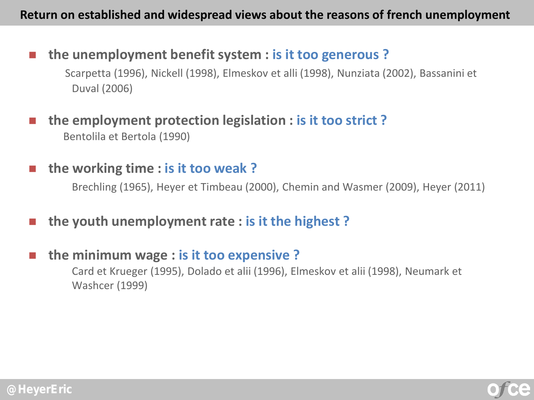#### **Return on established and widespread views about the reasons of french unemployment**

 **the unemployment benefit system : is it too generous ?** Scarpetta (1996), Nickell (1998), Elmeskov et alli (1998), Nunziata (2002), Bassanini et Duval (2006)

 **the employment protection legislation : is it too strict ?** Bentolila et Bertola (1990)

**the working time : is it too weak ?**

Brechling (1965), Heyer et Timbeau (2000), Chemin and Wasmer (2009), Heyer (2011)

**the youth unemployment rate : is it the highest ?**

 **the minimum wage : is it too expensive ?** Card et Krueger (1995), Dolado et alii (1996), Elmeskov et alii (1998), Neumark et Washcer (1999)

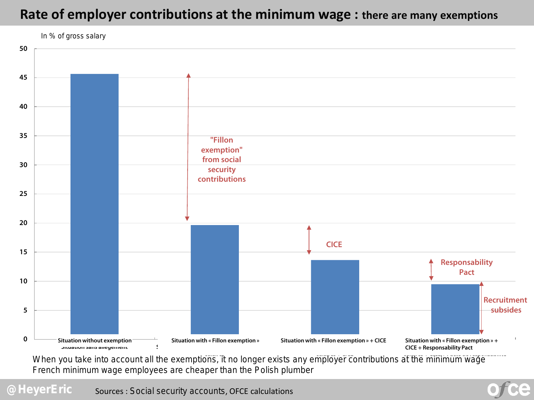### **Rate of employer contributions at the minimum wage : there are many exemptions**



When you take into account all the exemptions, it no longer exists any employer contributions at the minimum wage French minimum wage employees are cheaper than the Polish plumber

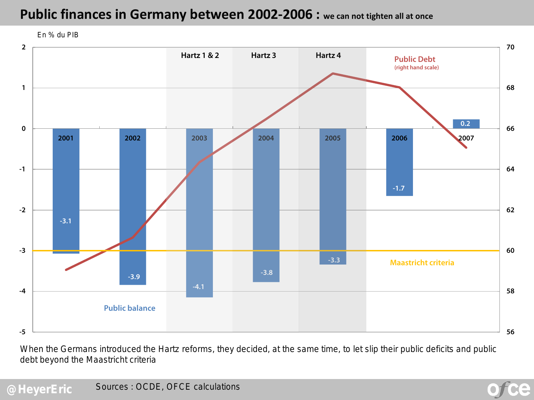### **Public finances in Germany between 2002-2006 : we can not tighten all at once**

**-3.1 -3.9 -4.1 -3.8 -3.3 -1.7 0.2 56 58 60 62 64 66 68 70 -5 -4 -3 -2 -1 0 1 2 2001 2002 2003 2004 2005 2006 2007 Maastricht criteria Public balance Public Debt (right hand scale) Hartz 1 & 2 Hartz 3 Hartz 4**

When the Germans introduced the Hartz reforms, they decided, at the same time, to let slip their public deficits and public debt beyond the Maastricht criteria

En % du PIB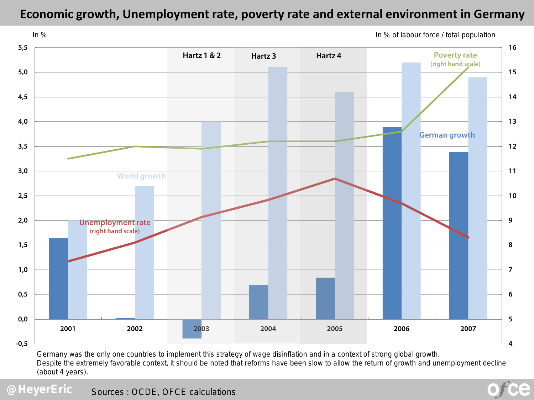#### **Economic growth, Unemployment rate, poverty rate and external environment in Germany**



Germany was the only one countries to implement this strategy of wage disinflation and in a context of strong global growth. Despite the extremely favorable context, it should be noted that reforms have been slow to allow the return of growth and unemployment decline (about 4 years).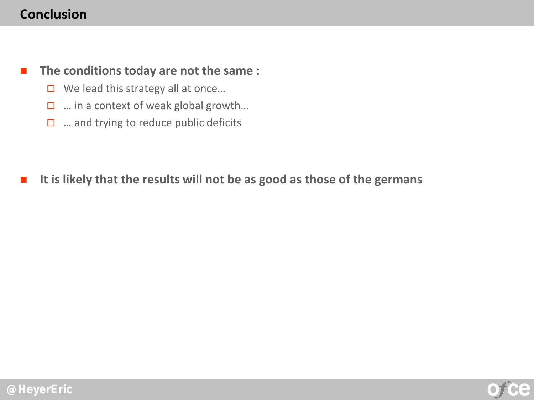#### **Conclusion**

- **The conditions today are not the same :**
	- $\Box$  We lead this strategy all at once...
	- □ ... in a context of weak global growth...
	- $\Box$  ... and trying to reduce public deficits

**It is likely that the results will not be as good as those of the germans**



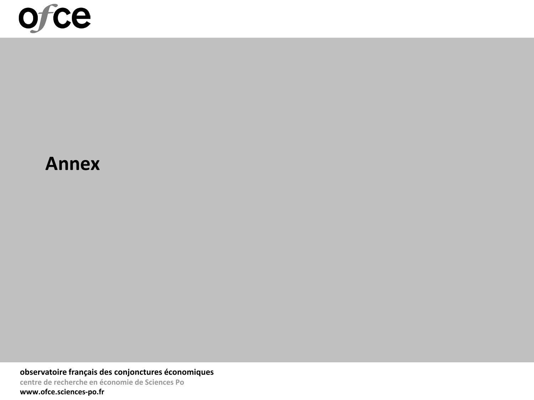

## **Annex**

**observatoire français des conjonctures économiques centre de recherche en économie de Sciences Po www.ofce.sciences-po.fr**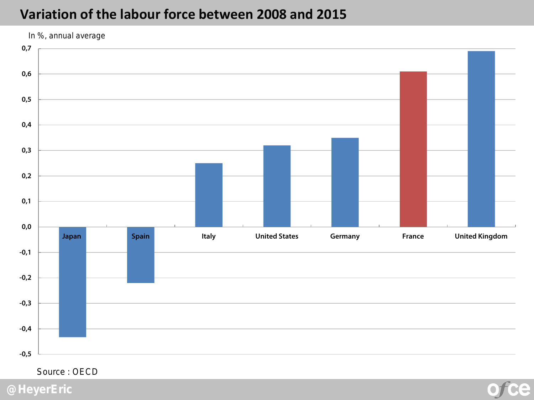#### **Variation of the labour force between 2008 and 2015**



*Source* : OECD

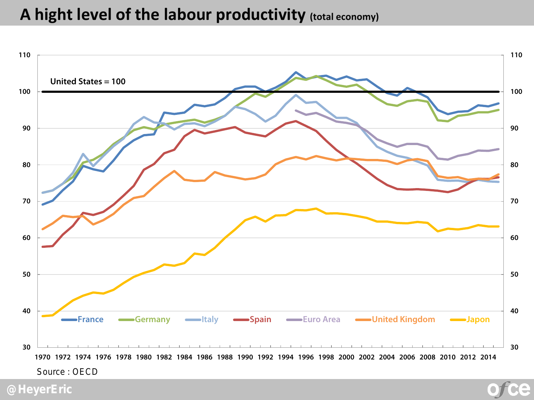## **A hight level of the labour productivity (total economy)**



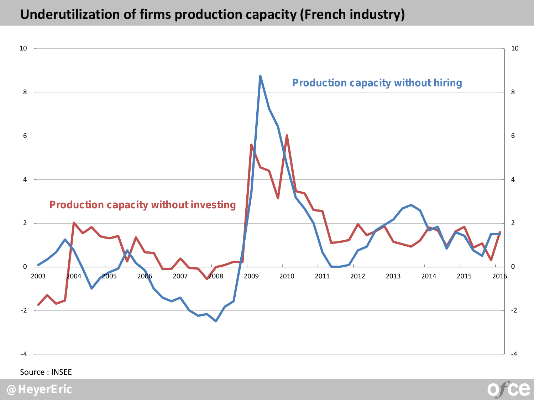### **Underutilization of firms production capacity (French industry)**



Source : INSEE